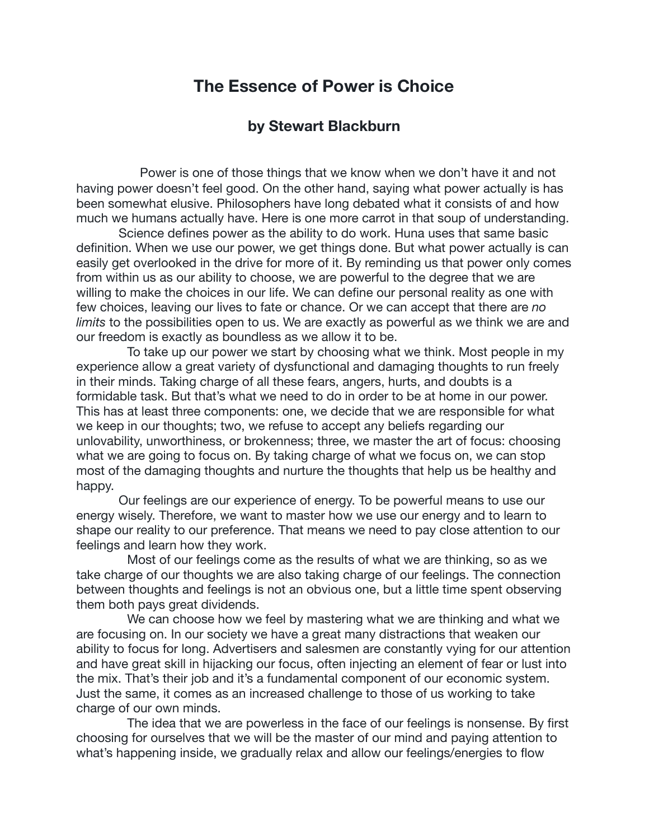## **The Essence of Power is Choice**

## **by Stewart Blackburn**

 Power is one of those things that we know when we don't have it and not having power doesn't feel good. On the other hand, saying what power actually is has been somewhat elusive. Philosophers have long debated what it consists of and how much we humans actually have. Here is one more carrot in that soup of understanding.

 Science defines power as the ability to do work. Huna uses that same basic definition. When we use our power, we get things done. But what power actually is can easily get overlooked in the drive for more of it. By reminding us that power only comes from within us as our ability to choose, we are powerful to the degree that we are willing to make the choices in our life. We can define our personal reality as one with few choices, leaving our lives to fate or chance. Or we can accept that there are *no limits* to the possibilities open to us. We are exactly as powerful as we think we are and our freedom is exactly as boundless as we allow it to be.

To take up our power we start by choosing what we think. Most people in my experience allow a great variety of dysfunctional and damaging thoughts to run freely in their minds. Taking charge of all these fears, angers, hurts, and doubts is a formidable task. But that's what we need to do in order to be at home in our power. This has at least three components: one, we decide that we are responsible for what we keep in our thoughts; two, we refuse to accept any beliefs regarding our unlovability, unworthiness, or brokenness; three, we master the art of focus: choosing what we are going to focus on. By taking charge of what we focus on, we can stop most of the damaging thoughts and nurture the thoughts that help us be healthy and happy.

 Our feelings are our experience of energy. To be powerful means to use our energy wisely. Therefore, we want to master how we use our energy and to learn to shape our reality to our preference. That means we need to pay close attention to our feelings and learn how they work.

Most of our feelings come as the results of what we are thinking, so as we take charge of our thoughts we are also taking charge of our feelings. The connection between thoughts and feelings is not an obvious one, but a little time spent observing them both pays great dividends.

We can choose how we feel by mastering what we are thinking and what we are focusing on. In our society we have a great many distractions that weaken our ability to focus for long. Advertisers and salesmen are constantly vying for our attention and have great skill in hijacking our focus, often injecting an element of fear or lust into the mix. That's their job and it's a fundamental component of our economic system. Just the same, it comes as an increased challenge to those of us working to take charge of our own minds.

The idea that we are powerless in the face of our feelings is nonsense. By first choosing for ourselves that we will be the master of our mind and paying attention to what's happening inside, we gradually relax and allow our feelings/energies to flow